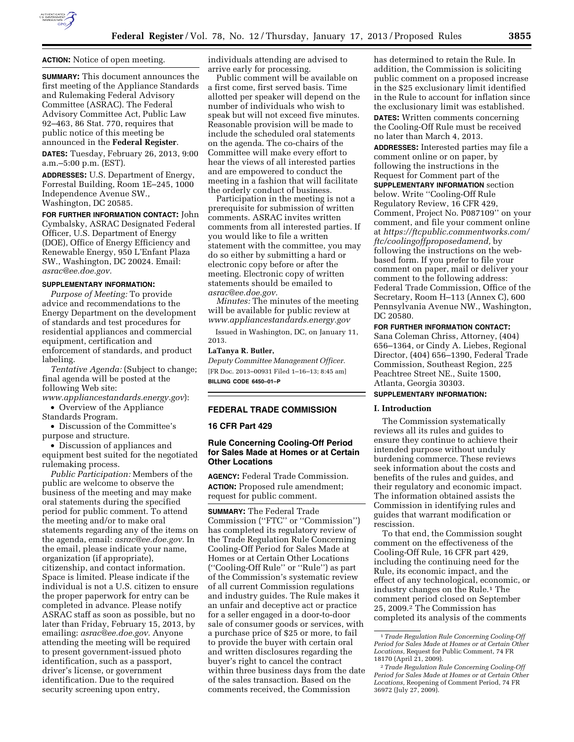

**ACTION:** Notice of open meeting.

**SUMMARY:** This document announces the first meeting of the Appliance Standards and Rulemaking Federal Advisory Committee (ASRAC). The Federal Advisory Committee Act, Public Law 92–463, 86 Stat. 770, requires that public notice of this meeting be announced in the **Federal Register**.

**DATES:** Tuesday, February 26, 2013, 9:00 a.m.–5:00 p.m. (EST).

**ADDRESSES:** U.S. Department of Energy, Forrestal Building, Room 1E–245, 1000 Independence Avenue SW., Washington, DC 20585.

**FOR FURTHER INFORMATION CONTACT:** John Cymbalsky, ASRAC Designated Federal Officer, U.S. Department of Energy (DOE), Office of Energy Efficiency and Renewable Energy, 950 L'Enfant Plaza SW., Washington, DC 20024. Email: *[asrac@ee.doe.gov.](mailto:asrac@ee.doe.gov)* 

#### **SUPPLEMENTARY INFORMATION:**

*Purpose of Meeting:* To provide advice and recommendations to the Energy Department on the development of standards and test procedures for residential appliances and commercial equipment, certification and enforcement of standards, and product labeling.

*Tentative Agenda:* (Subject to change; final agenda will be posted at the following Web site:

*[www.appliancestandards.energy.gov](http://www.appliancestandards.energy.gov)*): • Overview of the Appliance

Standards Program.

• Discussion of the Committee's purpose and structure.

• Discussion of appliances and equipment best suited for the negotiated rulemaking process.

*Public Participation:* Members of the public are welcome to observe the business of the meeting and may make oral statements during the specified period for public comment. To attend the meeting and/or to make oral statements regarding any of the items on the agenda, email: *[asrac@ee.doe.gov.](mailto:asrac@ee.doe.gov)* In the email, please indicate your name, organization (if appropriate), citizenship, and contact information. Space is limited. Please indicate if the individual is not a U.S. citizen to ensure the proper paperwork for entry can be completed in advance. Please notify ASRAC staff as soon as possible, but no later than Friday, February 15, 2013, by emailing: *[asrac@ee.doe.gov.](mailto:asrac@ee.doe.gov)* Anyone attending the meeting will be required to present government-issued photo identification, such as a passport, driver's license, or government identification. Due to the required security screening upon entry,

individuals attending are advised to arrive early for processing.

Public comment will be available on a first come, first served basis. Time allotted per speaker will depend on the number of individuals who wish to speak but will not exceed five minutes. Reasonable provision will be made to include the scheduled oral statements on the agenda. The co-chairs of the Committee will make every effort to hear the views of all interested parties and are empowered to conduct the meeting in a fashion that will facilitate the orderly conduct of business.

Participation in the meeting is not a prerequisite for submission of written comments. ASRAC invites written comments from all interested parties. If you would like to file a written statement with the committee, you may do so either by submitting a hard or electronic copy before or after the meeting. Electronic copy of written statements should be emailed to *[asrac@ee.doe.gov.](mailto:asrac@ee.doe.gov)* 

*Minutes:* The minutes of the meeting will be available for public review at *[www.appliancestandards.energy.gov](http://www.appliancestandards.energy.gov)* 

Issued in Washington, DC, on January 11, 2013.

#### **LaTanya R. Butler,**

*Deputy Committee Management Officer.*  [FR Doc. 2013–00931 Filed 1–16–13; 8:45 am] **BILLING CODE 6450–01–P** 

**FEDERAL TRADE COMMISSION** 

#### **16 CFR Part 429**

# **Rule Concerning Cooling-Off Period for Sales Made at Homes or at Certain Other Locations**

**AGENCY:** Federal Trade Commission. **ACTION:** Proposed rule amendment; request for public comment.

**SUMMARY:** The Federal Trade Commission (''FTC'' or ''Commission'') has completed its regulatory review of the Trade Regulation Rule Concerning Cooling-Off Period for Sales Made at Homes or at Certain Other Locations (''Cooling-Off Rule'' or ''Rule'') as part of the Commission's systematic review of all current Commission regulations and industry guides. The Rule makes it an unfair and deceptive act or practice for a seller engaged in a door-to-door sale of consumer goods or services, with a purchase price of \$25 or more, to fail to provide the buyer with certain oral and written disclosures regarding the buyer's right to cancel the contract within three business days from the date of the sales transaction. Based on the comments received, the Commission

has determined to retain the Rule. In addition, the Commission is soliciting public comment on a proposed increase in the \$25 exclusionary limit identified in the Rule to account for inflation since the exclusionary limit was established.

**DATES:** Written comments concerning the Cooling-Off Rule must be received no later than March 4, 2013.

**ADDRESSES:** Interested parties may file a comment online or on paper, by following the instructions in the Request for Comment part of the **SUPPLEMENTARY INFORMATION** section below. Write ''Cooling-Off Rule Regulatory Review, 16 CFR 429, Comment, Project No. P087109'' on your comment, and file your comment online at *[https://ftcpublic.commentworks.com/](https://ftcpublic.commentworks.com/ftc/coolingoffproposedamend)  [ftc/coolingoffproposedamend,](https://ftcpublic.commentworks.com/ftc/coolingoffproposedamend)* by following the instructions on the webbased form. If you prefer to file your comment on paper, mail or deliver your comment to the following address: Federal Trade Commission, Office of the Secretary, Room H–113 (Annex C), 600 Pennsylvania Avenue NW., Washington, DC 20580.

#### **FOR FURTHER INFORMATION CONTACT:**

Sana Coleman Chriss, Attorney, (404) 656–1364, or Cindy A. Liebes, Regional Director, (404) 656–1390, Federal Trade Commission, Southeast Region, 225 Peachtree Street NE., Suite 1500, Atlanta, Georgia 30303.

### **SUPPLEMENTARY INFORMATION:**

### **I. Introduction**

The Commission systematically reviews all its rules and guides to ensure they continue to achieve their intended purpose without unduly burdening commerce. These reviews seek information about the costs and benefits of the rules and guides, and their regulatory and economic impact. The information obtained assists the Commission in identifying rules and guides that warrant modification or rescission.

To that end, the Commission sought comment on the effectiveness of the Cooling-Off Rule, 16 CFR part 429, including the continuing need for the Rule, its economic impact, and the effect of any technological, economic, or industry changes on the Rule.1 The comment period closed on September 25, 2009.2 The Commission has completed its analysis of the comments

<sup>1</sup>*Trade Regulation Rule Concerning Cooling-Off Period for Sales Made at Homes or at Certain Other Locations,* Request for Public Comment, 74 FR 18170 (April 21, 2009).

<sup>2</sup>*Trade Regulation Rule Concerning Cooling-Off Period for Sales Made at Homes or at Certain Other Locations,* Reopening of Comment Period, 74 FR 36972 (July 27, 2009).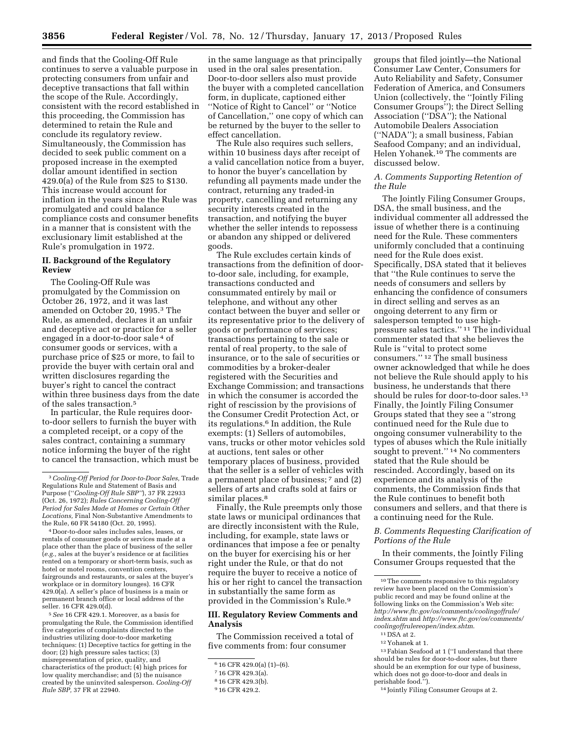and finds that the Cooling-Off Rule continues to serve a valuable purpose in protecting consumers from unfair and deceptive transactions that fall within the scope of the Rule. Accordingly, consistent with the record established in this proceeding, the Commission has determined to retain the Rule and conclude its regulatory review. Simultaneously, the Commission has decided to seek public comment on a proposed increase in the exempted dollar amount identified in section 429.0(a) of the Rule from \$25 to \$130. This increase would account for inflation in the years since the Rule was promulgated and could balance compliance costs and consumer benefits in a manner that is consistent with the exclusionary limit established at the Rule's promulgation in 1972.

# **II. Background of the Regulatory Review**

The Cooling-Off Rule was promulgated by the Commission on October 26, 1972, and it was last amended on October 20, 1995.3 The Rule, as amended, declares it an unfair and deceptive act or practice for a seller engaged in a door-to-door sale 4 of consumer goods or services, with a purchase price of \$25 or more, to fail to provide the buyer with certain oral and written disclosures regarding the buyer's right to cancel the contract within three business days from the date of the sales transaction.5

In particular, the Rule requires doorto-door sellers to furnish the buyer with a completed receipt, or a copy of the sales contract, containing a summary notice informing the buyer of the right to cancel the transaction, which must be

4 Door-to-door sales includes sales, leases, or rentals of consumer goods or services made at a place other than the place of business of the seller (*e.g.,* sales at the buyer's residence or at facilities rented on a temporary or short-term basis, such as hotel or motel rooms, convention centers, fairgrounds and restaurants, or sales at the buyer's workplace or in dormitory lounges). 16 CFR 429.0(a). A seller's place of business is a main or permanent branch office or local address of the seller. 16 CFR 429.0(d).

5*See* 16 CFR 429.1. Moreover, as a basis for promulgating the Rule, the Commission identified five categories of complaints directed to the industries utilizing door-to-door marketing techniques: (1) Deceptive tactics for getting in the door; (2) high pressure sales tactics; (3) misrepresentation of price, quality, and characteristics of the product; (4) high prices for low quality merchandise; and (5) the nuisance created by the uninvited salesperson. *Cooling-Off Rule SBP,* 37 FR at 22940.

in the same language as that principally used in the oral sales presentation. Door-to-door sellers also must provide the buyer with a completed cancellation form, in duplicate, captioned either ''Notice of Right to Cancel'' or ''Notice of Cancellation,'' one copy of which can be returned by the buyer to the seller to effect cancellation.

The Rule also requires such sellers, within 10 business days after receipt of a valid cancellation notice from a buyer, to honor the buyer's cancellation by refunding all payments made under the contract, returning any traded-in property, cancelling and returning any security interests created in the transaction, and notifying the buyer whether the seller intends to repossess or abandon any shipped or delivered goods.

The Rule excludes certain kinds of transactions from the definition of doorto-door sale, including, for example, transactions conducted and consummated entirely by mail or telephone, and without any other contact between the buyer and seller or its representative prior to the delivery of goods or performance of services; transactions pertaining to the sale or rental of real property, to the sale of insurance, or to the sale of securities or commodities by a broker-dealer registered with the Securities and Exchange Commission; and transactions in which the consumer is accorded the right of rescission by the provisions of the Consumer Credit Protection Act, or its regulations.6 In addition, the Rule exempts: (1) Sellers of automobiles, vans, trucks or other motor vehicles sold at auctions, tent sales or other temporary places of business, provided that the seller is a seller of vehicles with a permanent place of business; 7 and (2) sellers of arts and crafts sold at fairs or similar places.<sup>8</sup>

Finally, the Rule preempts only those state laws or municipal ordinances that are directly inconsistent with the Rule, including, for example, state laws or ordinances that impose a fee or penalty on the buyer for exercising his or her right under the Rule, or that do not require the buyer to receive a notice of his or her right to cancel the transaction in substantially the same form as provided in the Commission's Rule.9

#### **III. Regulatory Review Comments and Analysis**

The Commission received a total of five comments from: four consumer

groups that filed jointly—the National Consumer Law Center, Consumers for Auto Reliability and Safety, Consumer Federation of America, and Consumers Union (collectively, the ''Jointly Filing Consumer Groups''); the Direct Selling Association (''DSA''); the National Automobile Dealers Association (''NADA''); a small business, Fabian Seafood Company; and an individual, Helen Yohanek.10 The comments are discussed below.

#### *A. Comments Supporting Retention of the Rule*

The Jointly Filing Consumer Groups, DSA, the small business, and the individual commenter all addressed the issue of whether there is a continuing need for the Rule. These commenters uniformly concluded that a continuing need for the Rule does exist. Specifically, DSA stated that it believes that ''the Rule continues to serve the needs of consumers and sellers by enhancing the confidence of consumers in direct selling and serves as an ongoing deterrent to any firm or salesperson tempted to use highpressure sales tactics.'' 11 The individual commenter stated that she believes the Rule is ''vital to protect some consumers.'' 12 The small business owner acknowledged that while he does not believe the Rule should apply to his business, he understands that there should be rules for door-to-door sales.13 Finally, the Jointly Filing Consumer Groups stated that they see a ''strong continued need for the Rule due to ongoing consumer vulnerability to the types of abuses which the Rule initially sought to prevent.'' 14 No commenters stated that the Rule should be rescinded. Accordingly, based on its experience and its analysis of the comments, the Commission finds that the Rule continues to benefit both consumers and sellers, and that there is a continuing need for the Rule.

# *B. Comments Requesting Clarification of Portions of the Rule*

In their comments, the Jointly Filing Consumer Groups requested that the

 $^{\rm 13}\,$  Fabian Seafood at 1 (''I understand that there should be rules for door-to-door sales, but there should be an exemption for our type of business, which does not go door-to-door and deals in perishable food.'

<sup>3</sup>*Cooling-Off Period for Door-to-Door Sales,* Trade Regulations Rule and Statement of Basis and Purpose (''*Cooling-Off Rule SBP''*), 37 FR 22933 (Oct. 26, 1972); *Rules Concerning Cooling-Off Period for Sales Made at Homes or Certain Other Locations,* Final Non-Substantive Amendments to the Rule, 60 FR 54180 (Oct. 20, 1995).

<sup>6</sup> 16 CFR 429.0(a) (1)–(6).

<sup>7</sup> 16 CFR 429.3(a).

<sup>8</sup> 16 CFR 429.3(b).

<sup>9</sup> 16 CFR 429.2.

<sup>&</sup>lt;sup>10</sup>The comments responsive to this regulatory review have been placed on the Commission's public record and may be found online at the following links on the Commission's Web site: *[http://www.ftc.gov/os/comments/coolingoffrule/](http://www.ftc.gov/os/comments/coolingoffrule/index.shtm) [index.shtm](http://www.ftc.gov/os/comments/coolingoffrule/index.shtm)* and *[http://www.ftc.gov/os/comments/](http://www.ftc.gov/os/comments/coolingoffrulereopen/index.shtm)  [coolingoffrulereopen/index.shtm](http://www.ftc.gov/os/comments/coolingoffrulereopen/index.shtm)*.

<sup>11</sup> DSA at 2.

<sup>12</sup> Yohanek at 1.

<sup>14</sup> Jointly Filing Consumer Groups at 2.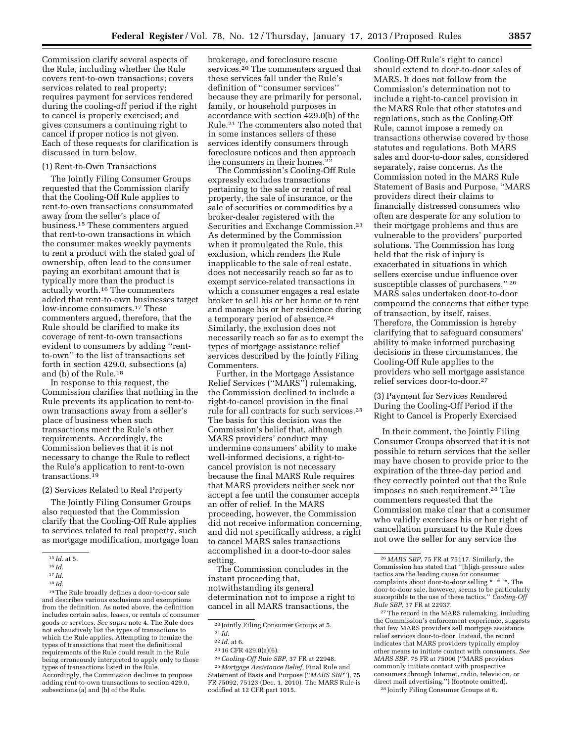Commission clarify several aspects of the Rule, including whether the Rule covers rent-to-own transactions; covers services related to real property; requires payment for services rendered during the cooling-off period if the right to cancel is properly exercised; and gives consumers a continuing right to cancel if proper notice is not given. Each of these requests for clarification is discussed in turn below.

#### (1) Rent-to-Own Transactions

The Jointly Filing Consumer Groups requested that the Commission clarify that the Cooling-Off Rule applies to rent-to-own transactions consummated away from the seller's place of business.15 These commenters argued that rent-to-own transactions in which the consumer makes weekly payments to rent a product with the stated goal of ownership, often lead to the consumer paying an exorbitant amount that is typically more than the product is actually worth.16 The commenters added that rent-to-own businesses target low-income consumers.17 These commenters argued, therefore, that the Rule should be clarified to make its coverage of rent-to-own transactions evident to consumers by adding ''rentto-own'' to the list of transactions set forth in section 429.0, subsections (a) and (b) of the Rule.18

In response to this request, the Commission clarifies that nothing in the Rule prevents its application to rent-toown transactions away from a seller's place of business when such transactions meet the Rule's other requirements. Accordingly, the Commission believes that it is not necessary to change the Rule to reflect the Rule's application to rent-to-own transactions.19

(2) Services Related to Real Property

The Jointly Filing Consumer Groups also requested that the Commission clarify that the Cooling-Off Rule applies to services related to real property, such as mortgage modification, mortgage loan

19The Rule broadly defines a door-to-door sale and describes various exclusions and exemptions from the definition. As noted above, the definition includes certain sales, leases, or rentals of consumer goods or services. *See supra* note 4. The Rule does not exhaustively list the types of transactions to which the Rule applies. Attempting to itemize the types of transactions that meet the definitional requirements of the Rule could result in the Rule being erroneously interpreted to apply only to those types of transactions listed in the Rule. Accordingly, the Commission declines to propose

adding rent-to-own transactions to section 429.0, subsections (a) and (b) of the Rule.

brokerage, and foreclosure rescue services.20 The commenters argued that these services fall under the Rule's definition of ''consumer services'' because they are primarily for personal, family, or household purposes in accordance with section 429.0(b) of the Rule.21 The commenters also noted that in some instances sellers of these services identify consumers through foreclosure notices and then approach the consumers in their homes.<sup>22</sup>

The Commission's Cooling-Off Rule expressly excludes transactions pertaining to the sale or rental of real property, the sale of insurance, or the sale of securities or commodities by a broker-dealer registered with the Securities and Exchange Commission.23 As determined by the Commission when it promulgated the Rule, this exclusion, which renders the Rule inapplicable to the sale of real estate, does not necessarily reach so far as to exempt service-related transactions in which a consumer engages a real estate broker to sell his or her home or to rent and manage his or her residence during a temporary period of absence.24 Similarly, the exclusion does not necessarily reach so far as to exempt the types of mortgage assistance relief services described by the Jointly Filing Commenters.

Further, in the Mortgage Assistance Relief Services (''MARS'') rulemaking, the Commission declined to include a right-to-cancel provision in the final rule for all contracts for such services.25 The basis for this decision was the Commission's belief that, although MARS providers' conduct may undermine consumers' ability to make well-informed decisions, a right-tocancel provision is not necessary because the final MARS Rule requires that MARS providers neither seek nor accept a fee until the consumer accepts an offer of relief. In the MARS proceeding, however, the Commission did not receive information concerning, and did not specifically address, a right to cancel MARS sales transactions accomplished in a door-to-door sales setting.

The Commission concludes in the instant proceeding that, notwithstanding its general determination not to impose a right to cancel in all MARS transactions, the

24*Cooling-Off Rule SBP,* 37 FR at 22948. 25 *Mortgage Assistance Relief,* Final Rule and Statement of Basis and Purpose (''*MARS SBP*''), 75

FR 75092, 75123 (Dec. 1, 2010). The MARS Rule is codified at 12 CFR part 1015.

Cooling-Off Rule's right to cancel should extend to door-to-door sales of MARS. It does not follow from the Commission's determination not to include a right-to-cancel provision in the MARS Rule that other statutes and regulations, such as the Cooling-Off Rule, cannot impose a remedy on transactions otherwise covered by those statutes and regulations. Both MARS sales and door-to-door sales, considered separately, raise concerns. As the Commission noted in the MARS Rule Statement of Basis and Purpose, ''MARS providers direct their claims to financially distressed consumers who often are desperate for any solution to their mortgage problems and thus are vulnerable to the providers' purported solutions. The Commission has long held that the risk of injury is exacerbated in situations in which sellers exercise undue influence over susceptible classes of purchasers.'' 26 MARS sales undertaken door-to-door compound the concerns that either type of transaction, by itself, raises. Therefore, the Commission is hereby clarifying that to safeguard consumers' ability to make informed purchasing decisions in these circumstances, the Cooling-Off Rule applies to the providers who sell mortgage assistance relief services door-to-door.27

(3) Payment for Services Rendered During the Cooling-Off Period if the Right to Cancel is Properly Exercised

In their comment, the Jointly Filing Consumer Groups observed that it is not possible to return services that the seller may have chosen to provide prior to the expiration of the three-day period and they correctly pointed out that the Rule imposes no such requirement.28 The commenters requested that the Commission make clear that a consumer who validly exercises his or her right of cancellation pursuant to the Rule does not owe the seller for any service the

27The record in the MARS rulemaking, including the Commission's enforcement experience, suggests that few MARS providers sell mortgage assistance relief services door-to-door. Instead, the record indicates that MARS providers typically employ other means to initiate contact with consumers. *See MARS SBP,* 75 FR at 75096 (''MARS providers commonly initiate contact with prospective consumers through Internet, radio, television, or direct mail advertising.'') (footnote omitted). 28 Jointly Filing Consumer Groups at 6.

<sup>15</sup> *Id.* at 5.

<sup>16</sup> *Id.* 

 $^{17}\,Id.$ 

<sup>18</sup> *Id.* 

<sup>20</sup> Jointly Filing Consumer Groups at 5.

<sup>21</sup> *Id.* 

<sup>22</sup> *Id.* at 6.

<sup>23</sup> 16 CFR 429.0(a)(6).

<sup>26</sup> *MARS SBP,* 75 FR at 75117. Similarly, the Commission has stated that ''[h]igh-pressure sales tactics are the leading cause for consumer complaints about door-to-door selling \* \* \*. The door-to-door sale, however, seems to be particularly susceptible to the use of these tactics.'' *Cooling-Off Rule SBP,* 37 FR at 22937.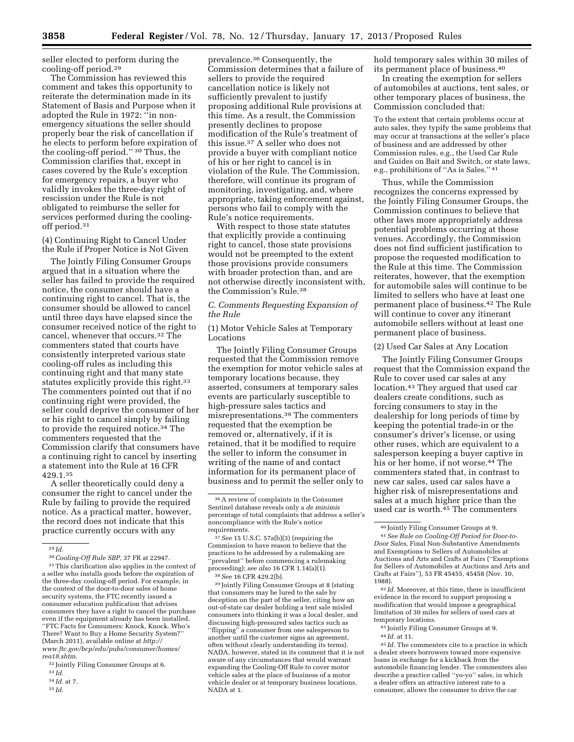seller elected to perform during the cooling-off period.29

The Commission has reviewed this comment and takes this opportunity to reiterate the determination made in its Statement of Basis and Purpose when it adopted the Rule in 1972: ''in nonemergency situations the seller should properly bear the risk of cancellation if he elects to perform before expiration of the cooling-off period.'' 30 Thus, the Commission clarifies that, except in cases covered by the Rule's exception for emergency repairs, a buyer who validly invokes the three-day right of rescission under the Rule is not obligated to reimburse the seller for services performed during the coolingoff period.31

(4) Continuing Right to Cancel Under the Rule if Proper Notice is Not Given

The Jointly Filing Consumer Groups argued that in a situation where the seller has failed to provide the required notice, the consumer should have a continuing right to cancel. That is, the consumer should be allowed to cancel until three days have elapsed since the consumer received notice of the right to cancel, whenever that occurs.32 The commenters stated that courts have consistently interpreted various state cooling-off rules as including this continuing right and that many state statutes explicitly provide this right.<sup>33</sup> The commenters pointed out that if no continuing right were provided, the seller could deprive the consumer of her or his right to cancel simply by failing to provide the required notice.34 The commenters requested that the Commission clarify that consumers have a continuing right to cancel by inserting a statement into the Rule at 16 CFR 429.1.35

A seller theoretically could deny a consumer the right to cancel under the Rule by failing to provide the required notice. As a practical matter, however, the record does not indicate that this practice currently occurs with any

32 Jointly Filing Consumer Groups at 6.

35 *Id.* 

prevalence.36 Consequently, the Commission determines that a failure of sellers to provide the required cancellation notice is likely not sufficiently prevalent to justify proposing additional Rule provisions at this time. As a result, the Commission presently declines to propose modification of the Rule's treatment of this issue.37 A seller who does not provide a buyer with compliant notice of his or her right to cancel is in violation of the Rule. The Commission, therefore, will continue its program of monitoring, investigating, and, where appropriate, taking enforcement against, persons who fail to comply with the Rule's notice requirements.

With respect to those state statutes that explicitly provide a continuing right to cancel, those state provisions would not be preempted to the extent those provisions provide consumers with broader protection than, and are not otherwise directly inconsistent with, the Commission's Rule.38

# *C. Comments Requesting Expansion of the Rule*

(1) Motor Vehicle Sales at Temporary Locations

The Jointly Filing Consumer Groups requested that the Commission remove the exemption for motor vehicle sales at temporary locations because, they asserted, consumers at temporary sales events are particularly susceptible to high-pressure sales tactics and misrepresentations.39 The commenters requested that the exemption be removed or, alternatively, if it is retained, that it be modified to require the seller to inform the consumer in writing of the name of and contact information for its permanent place of business and to permit the seller only to

37*See* 15 U.S.C. 57a(b)(3) (requiring the Commission to have reason to believe that the practices to be addressed by a rulemaking are 'prevalent'' before commencing a rulemaking proceeding); *see also* 16 CFR 1.14(a)(1). 38*See* 16 CFR 429.2(b).

39 Jointly Filing Consumer Groups at 8 (stating that consumers may be lured to the sale by deception on the part of the seller, citing how an out-of-state car dealer holding a tent sale misled consumers into thinking it was a local dealer, and discussing high-pressured sales tactics such as ''flipping'' a consumer from one salesperson to another until the customer signs an agreement, often without clearly understanding its terms). NADA, however, stated in its comment that it is not aware of any circumstances that would warrant expanding the Cooling-Off Rule to cover motor vehicle sales at the place of business of a motor vehicle dealer or at temporary business locations. NADA at 1.

hold temporary sales within 30 miles of its permanent place of business.40

In creating the exemption for sellers of automobiles at auctions, tent sales, or other temporary places of business, the Commission concluded that:

To the extent that certain problems occur at auto sales, they typify the same problems that may occur at transactions at the seller's place of business and are addressed by other Commission rules, e.g., the Used Car Rule and Guides on Bait and Switch, or state laws, e.g., prohibitions of ''As is Sales.'' 41

Thus, while the Commission recognizes the concerns expressed by the Jointly Filing Consumer Groups, the Commission continues to believe that other laws more appropriately address potential problems occurring at those venues. Accordingly, the Commission does not find sufficient justification to propose the requested modification to the Rule at this time. The Commission reiterates, however, that the exemption for automobile sales will continue to be limited to sellers who have at least one permanent place of business.42 The Rule will continue to cover any itinerant automobile sellers without at least one permanent place of business.

#### (2) Used Car Sales at Any Location

The Jointly Filing Consumer Groups request that the Commission expand the Rule to cover used car sales at any location.43 They argued that used car dealers create conditions, such as forcing consumers to stay in the dealership for long periods of time by keeping the potential trade-in or the consumer's driver's license, or using other ruses, which are equivalent to a salesperson keeping a buyer captive in his or her home, if not worse.44 The commenters stated that, in contrast to new car sales, used car sales have a higher risk of misrepresentations and sales at a much higher price than the used car is worth. $45$  The commenters

42 *Id.* Moreover, at this time, there is insufficient evidence in the record to support proposing a modification that would impose a geographical limitation of 30 miles for sellers of used cars at temporary locations.

43 Jointly Filing Consumer Groups at 9. 44 *Id.* at 11.

45 *Id.* The commenters cite to a practice in which a dealer steers borrowers toward more expensive loans in exchange for a kickback from the automobile financing lender. The commenters also describe a practice called ''yo-yo'' sales, in which a dealer offers an attractive interest rate to a consumer, allows the consumer to drive the car

<sup>29</sup> *Id.* 

<sup>30</sup>*Cooling-Off Rule SBP,* 37 FR at 22947.

<sup>31</sup>This clarification also applies in the context of a seller who installs goods before the expiration of the three-day cooling-off period. For example, in the context of the door-to-door sales of home security systems, the FTC recently issued a consumer education publication that advises consumers they have a right to cancel the purchase even if the equipment already has been installed. ''FTC Facts for Consumers: Knock, Knock. Who's There? Want to Buy a Home Security System?'' (March 2011), available online at *[http://](http://www.ftc.gov/bcp/edu/pubs/consumer/homes/rea18.shtm) [www.ftc.gov/bcp/edu/pubs/consumer/homes/](http://www.ftc.gov/bcp/edu/pubs/consumer/homes/rea18.shtm) [rea18.shtm](http://www.ftc.gov/bcp/edu/pubs/consumer/homes/rea18.shtm)*.

<sup>33</sup> *Id.* 

<sup>34</sup> *Id.* at 7.

<sup>36</sup>A review of complaints in the Consumer Sentinel database reveals only a *de minimis*  percentage of total complaints that address a seller's noncompliance with the Rule's notice requirements.

<sup>40</sup> Jointly Filing Consumer Groups at 9.

<sup>41</sup>*See Rule on Cooling-Off Period for Door-to-Door Sales,* Final Non-Substantive Amendments and Exemptions to Sellers of Automobiles at Auctions and Arts and Crafts at Fairs (''Exemptions for Sellers of Automobiles at Auctions and Arts and Crafts at Fairs''), 53 FR 45455, 45458 (Nov. 10, 1988).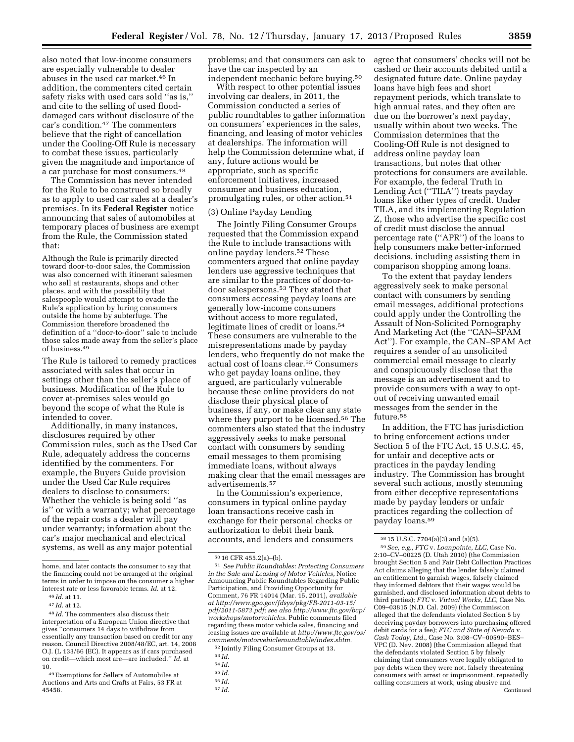also noted that low-income consumers are especially vulnerable to dealer abuses in the used car market.46 In addition, the commenters cited certain safety risks with used cars sold ''as is,'' and cite to the selling of used flooddamaged cars without disclosure of the car's condition.47 The commenters believe that the right of cancellation under the Cooling-Off Rule is necessary to combat these issues, particularly given the magnitude and importance of a car purchase for most consumers.48

The Commission has never intended for the Rule to be construed so broadly as to apply to used car sales at a dealer's premises. In its **Federal Register** notice announcing that sales of automobiles at temporary places of business are exempt from the Rule, the Commission stated that:

Although the Rule is primarily directed toward door-to-door sales, the Commission was also concerned with itinerant salesmen who sell at restaurants, shops and other places, and with the possibility that salespeople would attempt to evade the Rule's application by luring consumers outside the home by subterfuge. The Commission therefore broadened the definition of a ''door-to-door'' sale to include those sales made away from the seller's place of business.49

The Rule is tailored to remedy practices associated with sales that occur in settings other than the seller's place of business. Modification of the Rule to cover at-premises sales would go beyond the scope of what the Rule is intended to cover.

Additionally, in many instances, disclosures required by other Commission rules, such as the Used Car Rule, adequately address the concerns identified by the commenters. For example, the Buyers Guide provision under the Used Car Rule requires dealers to disclose to consumers: Whether the vehicle is being sold ''as is'' or with a warranty; what percentage of the repair costs a dealer will pay under warranty; information about the car's major mechanical and electrical systems, as well as any major potential

problems; and that consumers can ask to have the car inspected by an independent mechanic before buying.50

With respect to other potential issues involving car dealers, in 2011, the Commission conducted a series of public roundtables to gather information on consumers' experiences in the sales, financing, and leasing of motor vehicles at dealerships. The information will help the Commission determine what, if any, future actions would be appropriate, such as specific enforcement initiatives, increased consumer and business education, promulgating rules, or other action.51

#### (3) Online Payday Lending

The Jointly Filing Consumer Groups requested that the Commission expand the Rule to include transactions with online payday lenders.52 These commenters argued that online payday lenders use aggressive techniques that are similar to the practices of door-todoor salespersons.53 They stated that consumers accessing payday loans are generally low-income consumers without access to more regulated, legitimate lines of credit or loans.54 These consumers are vulnerable to the misrepresentations made by payday lenders, who frequently do not make the actual cost of loans clear.55 Consumers who get payday loans online, they argued, are particularly vulnerable because these online providers do not disclose their physical place of business, if any, or make clear any state where they purport to be licensed.56 The commenters also stated that the industry aggressively seeks to make personal contact with consumers by sending email messages to them promising immediate loans, without always making clear that the email messages are advertisements.57

In the Commission's experience, consumers in typical online payday loan transactions receive cash in exchange for their personal checks or authorization to debit their bank accounts, and lenders and consumers agree that consumers' checks will not be cashed or their accounts debited until a designated future date. Online payday loans have high fees and short repayment periods, which translate to high annual rates, and they often are due on the borrower's next payday, usually within about two weeks. The Commission determines that the Cooling-Off Rule is not designed to address online payday loan transactions, but notes that other protections for consumers are available. For example, the federal Truth in Lending Act (''TILA'') treats payday loans like other types of credit. Under TILA, and its implementing Regulation Z, those who advertise the specific cost of credit must disclose the annual percentage rate (''APR'') of the loans to help consumers make better-informed decisions, including assisting them in comparison shopping among loans.

To the extent that payday lenders aggressively seek to make personal contact with consumers by sending email messages, additional protections could apply under the Controlling the Assault of Non-Solicited Pornography And Marketing Act (the ''CAN–SPAM Act''). For example, the CAN–SPAM Act requires a sender of an unsolicited commercial email message to clearly and conspicuously disclose that the message is an advertisement and to provide consumers with a way to optout of receiving unwanted email messages from the sender in the future.<sup>58</sup>

In addition, the FTC has jurisdiction to bring enforcement actions under Section 5 of the FTC Act, 15 U.S.C. 45, for unfair and deceptive acts or practices in the payday lending industry. The Commission has brought several such actions, mostly stemming from either deceptive representations made by payday lenders or unfair practices regarding the collection of payday loans.59

59*See, e.g., FTC* v. *Loanpointe, LLC,* Case No. 2:10–CV–00225 (D. Utah 2010) (the Commission brought Section 5 and Fair Debt Collection Practices Act claims alleging that the lender falsely claimed an entitlement to garnish wages, falsely claimed they informed debtors that their wages would be garnished, and disclosed information about debts to third parties); *FTC* v. *Virtual Works, LLC,* Case No. C09–03815 (N.D. Cal. 2009) (the Commission alleged that the defendants violated Section 5 by deceiving payday borrowers into purchasing offered debit cards for a fee); *FTC and State of Nevada* v. *Cash Today, Ltd.,* Case No. 3:08–CV–00590–BES– VPC (D. Nev. 2008) (the Commission alleged that the defendants violated Section 5 by falsely claiming that consumers were legally obligated to pay debts when they were not, falsely threatening consumers with arrest or imprisonment, repeatedly calling consumers at work, using abusive and Continued

home, and later contacts the consumer to say that the financing could not be arranged at the original terms in order to impose on the consumer a higher interest rate or less favorable terms. *Id.* at 12.

<sup>46</sup> *Id.* at 11.

<sup>47</sup> *Id.* at 12.

<sup>48</sup> *Id.* The commenters also discuss their interpretation of a European Union directive that gives ''consumers 14 days to withdraw from essentially any transaction based on credit for any reason. Council Directive 2008/48/EC, art. 14, 2008 O.J. (L 133/66 (EC). It appears as if cars purchased on credit—which most are—are included.'' *Id.* at 10.

<sup>49</sup>Exemptions for Sellers of Automobiles at Auctions and Arts and Crafts at Fairs, 53 FR at 45458.

<sup>50</sup> 16 CFR 455.2(a)–(b). 51 *See Public Roundtables: Protecting Consumers in the Sale and Leasing of Motor Vehicles,* Notice Announcing Public Roundtables Regarding Public Participation, and Providing Opportunity for Comment, 76 FR 14014 (Mar. 15, 2011), *available at [http://www.gpo.gov/fdsys/pkg/FR-2011-03-15/](http://www.gpo.gov/fdsys/pkg/FR-2011-03-15/pdf/2011-5873.pdf) [pdf/2011-5873.pdf;](http://www.gpo.gov/fdsys/pkg/FR-2011-03-15/pdf/2011-5873.pdf) see also [http://www.ftc.gov/](http://www.ftc.gov)bcp/ workshops/motorvehicles.* Public comments filed regarding these motor vehicle sales, financing and leasing issues are available at *[http://www.ftc.gov/os/](http://www.ftc.gov/os/comments/motorvehicleroundtable/index.shtm) [comments/motorvehicleroundtable/index.shtm.](http://www.ftc.gov/os/comments/motorvehicleroundtable/index.shtm)* 

<sup>52</sup> Jointly Filing Consumer Groups at 13.

<sup>53</sup> *Id.* 

<sup>54</sup> *Id.* 

<sup>55</sup> *Id.* 

<sup>56</sup> *Id.* 

<sup>57</sup> *Id.* 

<sup>58</sup> 15 U.S.C. 7704(a)(3) and (a)(5).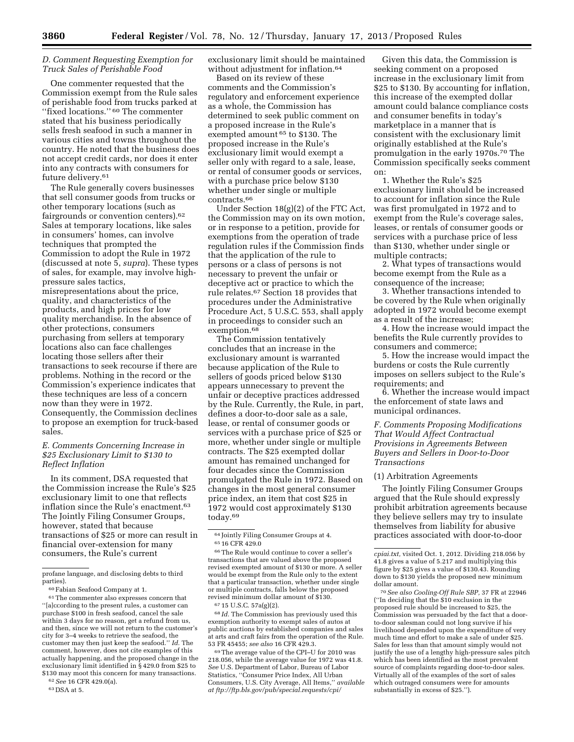# *D. Comment Requesting Exemption for Truck Sales of Perishable Food*

One commenter requested that the Commission exempt from the Rule sales of perishable food from trucks parked at ''fixed locations.'' 60 The commenter stated that his business periodically sells fresh seafood in such a manner in various cities and towns throughout the country. He noted that the business does not accept credit cards, nor does it enter into any contracts with consumers for future delivery.61

The Rule generally covers businesses that sell consumer goods from trucks or other temporary locations (such as fairgrounds or convention centers).62 Sales at temporary locations, like sales in consumers' homes, can involve techniques that prompted the Commission to adopt the Rule in 1972 (discussed at note 5, *supra*). These types of sales, for example, may involve highpressure sales tactics, misrepresentations about the price, quality, and characteristics of the

products, and high prices for low quality merchandise. In the absence of other protections, consumers purchasing from sellers at temporary locations also can face challenges locating those sellers after their transactions to seek recourse if there are problems. Nothing in the record or the Commission's experience indicates that these techniques are less of a concern now than they were in 1972. Consequently, the Commission declines to propose an exemption for truck-based sales.

# *E. Comments Concerning Increase in \$25 Exclusionary Limit to \$130 to Reflect Inflation*

In its comment, DSA requested that the Commission increase the Rule's \$25 exclusionary limit to one that reflects inflation since the Rule's enactment.<sup>63</sup> The Jointly Filing Consumer Groups, however, stated that because transactions of \$25 or more can result in financial over-extension for many consumers, the Rule's current

62*See* 16 CFR 429.0(a).

63 DSA at 5.

exclusionary limit should be maintained without adjustment for inflation.<sup>64</sup>

Based on its review of these comments and the Commission's regulatory and enforcement experience as a whole, the Commission has determined to seek public comment on a proposed increase in the Rule's exempted amount 65 to \$130. The proposed increase in the Rule's exclusionary limit would exempt a seller only with regard to a sale, lease, or rental of consumer goods or services, with a purchase price below \$130 whether under single or multiple contracts.66

Under Section 18(g)(2) of the FTC Act, the Commission may on its own motion, or in response to a petition, provide for exemptions from the operation of trade regulation rules if the Commission finds that the application of the rule to persons or a class of persons is not necessary to prevent the unfair or deceptive act or practice to which the rule relates.67 Section 18 provides that procedures under the Administrative Procedure Act, 5 U.S.C. 553, shall apply in proceedings to consider such an exemption.<sup>68</sup>

The Commission tentatively concludes that an increase in the exclusionary amount is warranted because application of the Rule to sellers of goods priced below \$130 appears unnecessary to prevent the unfair or deceptive practices addressed by the Rule. Currently, the Rule, in part, defines a door-to-door sale as a sale, lease, or rental of consumer goods or services with a purchase price of \$25 or more, whether under single or multiple contracts. The \$25 exempted dollar amount has remained unchanged for four decades since the Commission promulgated the Rule in 1972. Based on changes in the most general consumer price index, an item that cost \$25 in 1972 would cost approximately \$130 today.69

67 15 U.S.C. 57a(g)(2).

68 *Id.* The Commission has previously used this exemption authority to exempt sales of autos at public auctions by established companies and sales at arts and craft fairs from the operation of the Rule. 53 FR 45455; *see also* 16 CFR 429.3.

69The average value of the CPI–U for 2010 was 218.056, while the average value for 1972 was 41.8. *See* U.S. Department of Labor, Bureau of Labor Statistics, ''Consumer Price Index, All Urban Consumers, U.S. City Average, All Items,'' *available at ftp://ftp.bls.gov/pub/special.requests/cpi/* 

Given this data, the Commission is seeking comment on a proposed increase in the exclusionary limit from \$25 to \$130. By accounting for inflation, this increase of the exempted dollar amount could balance compliance costs and consumer benefits in today's marketplace in a manner that is consistent with the exclusionary limit originally established at the Rule's promulgation in the early 1970s.70 The Commission specifically seeks comment on:

1. Whether the Rule's \$25 exclusionary limit should be increased to account for inflation since the Rule was first promulgated in 1972 and to exempt from the Rule's coverage sales, leases, or rentals of consumer goods or services with a purchase price of less than \$130, whether under single or multiple contracts;

2. What types of transactions would become exempt from the Rule as a consequence of the increase;

3. Whether transactions intended to be covered by the Rule when originally adopted in 1972 would become exempt as a result of the increase;

4. How the increase would impact the benefits the Rule currently provides to consumers and commerce;

5. How the increase would impact the burdens or costs the Rule currently imposes on sellers subject to the Rule's requirements; and

6. Whether the increase would impact the enforcement of state laws and municipal ordinances.

*F. Comments Proposing Modifications That Would Affect Contractual Provisions in Agreements Between Buyers and Sellers in Door-to-Door Transactions* 

#### (1) Arbitration Agreements

The Jointly Filing Consumer Groups argued that the Rule should expressly prohibit arbitration agreements because they believe sellers may try to insulate themselves from liability for abusive practices associated with door-to-door

70*See also Cooling-Off Rule SBP,* 37 FR at 22946 (''In deciding that the \$10 exclusion in the proposed rule should be increased to \$25, the Commission was persuaded by the fact that a doorto-door salesman could not long survive if his livelihood depended upon the expenditure of very much time and effort to make a sale of under \$25. Sales for less than that amount simply would not justify the use of a lengthy high-pressure sales pitch which has been identified as the most prevalent source of complaints regarding door-to-door sales. Virtually all of the examples of the sort of sales which outraged consumers were for amounts substantially in excess of \$25.'').

profane language, and disclosing debts to third parties).

<sup>60</sup>Fabian Seafood Company at 1.

 $\ensuremath{^{61}}$  The commenter also expresses concern that ''[a]ccording to the present rules, a customer can purchase \$100 in fresh seafood, cancel the sale within 3 days for no reason, get a refund from us, and then, since we will not return to the customer's city for 3–4 weeks to retrieve the seafood, the customer may then just keep the seafood.'' *Id.* The comment, however, does not cite examples of this actually happening, and the proposed change in the exclusionary limit identified in § 429.0 from \$25 to \$130 may moot this concern for many transactions.

<sup>64</sup> Jointly Filing Consumer Groups at 4. 65 16 CFR 429.0

<sup>66</sup>The Rule would continue to cover a seller's transactions that are valued above the proposed revised exempted amount of \$130 or more. A seller would be exempt from the Rule only to the extent that a particular transaction, whether under single or multiple contracts, falls below the proposed revised minimum dollar amount of \$130.

*cpiai.txt,* visited Oct. 1, 2012. Dividing 218.056 by 41.8 gives a value of 5.217 and multiplying this figure by \$25 gives a value of \$130.43. Rounding down to \$130 yields the proposed new minimum dollar amount.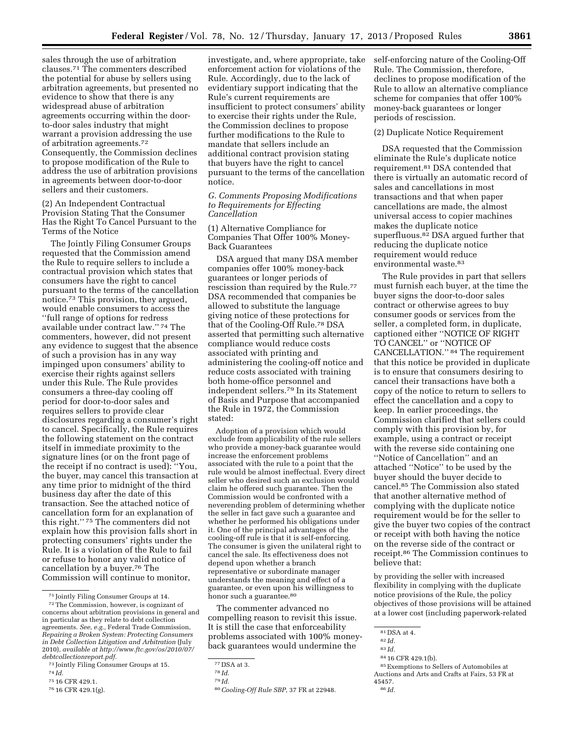sales through the use of arbitration clauses.71 The commenters described the potential for abuse by sellers using arbitration agreements, but presented no evidence to show that there is any widespread abuse of arbitration agreements occurring within the doorto-door sales industry that might warrant a provision addressing the use of arbitration agreements.72 Consequently, the Commission declines to propose modification of the Rule to address the use of arbitration provisions in agreements between door-to-door sellers and their customers.

(2) An Independent Contractual Provision Stating That the Consumer Has the Right To Cancel Pursuant to the Terms of the Notice

The Jointly Filing Consumer Groups requested that the Commission amend the Rule to require sellers to include a contractual provision which states that consumers have the right to cancel pursuant to the terms of the cancellation notice.73 This provision, they argued, would enable consumers to access the ''full range of options for redress available under contract law.'' 74 The commenters, however, did not present any evidence to suggest that the absence of such a provision has in any way impinged upon consumers' ability to exercise their rights against sellers under this Rule. The Rule provides consumers a three-day cooling off period for door-to-door sales and requires sellers to provide clear disclosures regarding a consumer's right to cancel. Specifically, the Rule requires the following statement on the contract itself in immediate proximity to the signature lines (or on the front page of the receipt if no contract is used): ''You, the buyer, may cancel this transaction at any time prior to midnight of the third business day after the date of this transaction. See the attached notice of cancellation form for an explanation of this right.'' 75 The commenters did not explain how this provision falls short in protecting consumers' rights under the Rule. It is a violation of the Rule to fail or refuse to honor any valid notice of cancellation by a buyer.76 The Commission will continue to monitor,

75 16 CFR 429.1.

investigate, and, where appropriate, take enforcement action for violations of the Rule. Accordingly, due to the lack of evidentiary support indicating that the Rule's current requirements are insufficient to protect consumers' ability to exercise their rights under the Rule, the Commission declines to propose further modifications to the Rule to mandate that sellers include an additional contract provision stating that buyers have the right to cancel pursuant to the terms of the cancellation notice.

*G. Comments Proposing Modifications to Requirements for Effecting Cancellation* 

(1) Alternative Compliance for Companies That Offer 100% Money-Back Guarantees

DSA argued that many DSA member companies offer 100% money-back guarantees or longer periods of rescission than required by the Rule.77 DSA recommended that companies be allowed to substitute the language giving notice of these protections for that of the Cooling-Off Rule.78 DSA asserted that permitting such alternative compliance would reduce costs associated with printing and administering the cooling-off notice and reduce costs associated with training both home-office personnel and independent sellers.79 In its Statement of Basis and Purpose that accompanied the Rule in 1972, the Commission stated:

Adoption of a provision which would exclude from applicability of the rule sellers who provide a money-back guarantee would increase the enforcement problems associated with the rule to a point that the rule would be almost ineffectual. Every direct seller who desired such an exclusion would claim he offered such guarantee. Then the Commission would be confronted with a neverending problem of determining whether the seller in fact gave such a guarantee and whether he performed his obligations under it. One of the principal advantages of the cooling-off rule is that it is self-enforcing. The consumer is given the unilateral right to cancel the sale. Its effectiveness does not depend upon whether a branch representative or subordinate manager understands the meaning and effect of a guarantee, or even upon his willingness to honor such a guarantee.<sup>80</sup>

The commenter advanced no compelling reason to revisit this issue. It is still the case that enforceability problems associated with 100% moneyback guarantees would undermine the

80*Cooling-Off Rule SBP,* 37 FR at 22948.

self-enforcing nature of the Cooling-Off Rule. The Commission, therefore, declines to propose modification of the Rule to allow an alternative compliance scheme for companies that offer 100% money-back guarantees or longer periods of rescission.

#### (2) Duplicate Notice Requirement

DSA requested that the Commission eliminate the Rule's duplicate notice requirement.81 DSA contended that there is virtually an automatic record of sales and cancellations in most transactions and that when paper cancellations are made, the almost universal access to copier machines makes the duplicate notice superfluous.82 DSA argued further that reducing the duplicate notice requirement would reduce environmental waste.83

The Rule provides in part that sellers must furnish each buyer, at the time the buyer signs the door-to-door sales contract or otherwise agrees to buy consumer goods or services from the seller, a completed form, in duplicate, captioned either ''NOTICE OF RIGHT TO CANCEL'' or ''NOTICE OF CANCELLATION.'' 84 The requirement that this notice be provided in duplicate is to ensure that consumers desiring to cancel their transactions have both a copy of the notice to return to sellers to effect the cancellation and a copy to keep. In earlier proceedings, the Commission clarified that sellers could comply with this provision by, for example, using a contract or receipt with the reverse side containing one ''Notice of Cancellation'' and an attached ''Notice'' to be used by the buyer should the buyer decide to cancel.85 The Commission also stated that another alternative method of complying with the duplicate notice requirement would be for the seller to give the buyer two copies of the contract or receipt with both having the notice on the reverse side of the contract or receipt.86 The Commission continues to believe that:

by providing the seller with increased flexibility in complying with the duplicate notice provisions of the Rule, the policy objectives of those provisions will be attained at a lower cost (including paperwork-related

84 16 CFR 429.1(b).

<sup>71</sup> Jointly Filing Consumer Groups at 14.

<sup>72</sup>The Commission, however, is cognizant of concerns about arbitration provisions in general and in particular as they relate to debt collection agreements. *See, e.g.,* Federal Trade Commission, *Repairing a Broken System: Protecting Consumers in Debt Collection Litigation and Arbitration* (July 2010), *available at [http://www.ftc.gov/os/2010/07/](http://www.ftc.gov/os/2010/07/debtcollectionreport.pdf) [debtcollectionreport.pdf.](http://www.ftc.gov/os/2010/07/debtcollectionreport.pdf)* 

<sup>73</sup> Jointly Filing Consumer Groups at 15.

<sup>74</sup> *Id.* 

<sup>76</sup> 16 CFR 429.1(g).

<sup>77</sup> DSA at 3.

<sup>78</sup> *Id.* 

<sup>79</sup> *Id.* 

<sup>81</sup> DSA at 4.

<sup>82</sup> *Id.*  83 *Id.* 

<sup>85</sup>Exemptions to Sellers of Automobiles at Auctions and Arts and Crafts at Fairs, 53 FR at 45457.

<sup>86</sup> *Id.*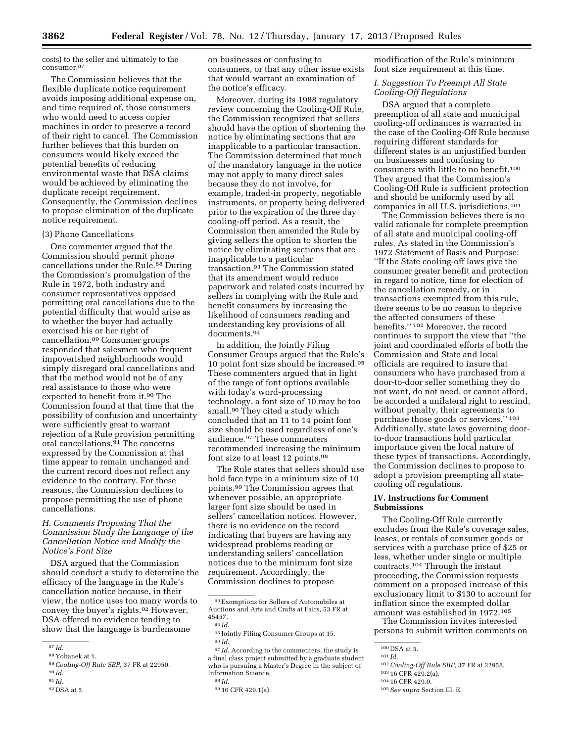costs) to the seller and ultimately to the consumer.87

The Commission believes that the flexible duplicate notice requirement avoids imposing additional expense on, and time required of, those consumers who would need to access copier machines in order to preserve a record of their right to cancel. The Commission further believes that this burden on consumers would likely exceed the potential benefits of reducing environmental waste that DSA claims would be achieved by eliminating the duplicate receipt requirement. Consequently, the Commission declines to propose elimination of the duplicate notice requirement.

#### (3) Phone Cancellations

One commenter argued that the Commission should permit phone cancellations under the Rule.88 During the Commission's promulgation of the Rule in 1972, both industry and consumer representatives opposed permitting oral cancellations due to the potential difficulty that would arise as to whether the buyer had actually exercised his or her right of cancellation.89 Consumer groups responded that salesmen who frequent impoverished neighborhoods would simply disregard oral cancellations and that the method would not be of any real assistance to those who were expected to benefit from it.90 The Commission found at that time that the possibility of confusion and uncertainty were sufficiently great to warrant rejection of a Rule provision permitting oral cancellations.91 The concerns expressed by the Commission at that time appear to remain unchanged and the current record does not reflect any evidence to the contrary. For these reasons, the Commission declines to propose permitting the use of phone cancellations.

# *H. Comments Proposing That the Commission Study the Language of the Cancellation Notice and Modify the Notice's Font Size*

DSA argued that the Commission should conduct a study to determine the efficacy of the language in the Rule's cancellation notice because, in their view, the notice uses too many words to convey the buyer's rights.92 However, DSA offered no evidence tending to show that the language is burdensome

on businesses or confusing to consumers, or that any other issue exists that would warrant an examination of the notice's efficacy.

Moreover, during its 1988 regulatory review concerning the Cooling-Off Rule, the Commission recognized that sellers should have the option of shortening the notice by eliminating sections that are inapplicable to a particular transaction. The Commission determined that much of the mandatory language in the notice may not apply to many direct sales because they do not involve, for example, traded-in property, negotiable instruments, or property being delivered prior to the expiration of the three day cooling-off period. As a result, the Commission then amended the Rule by giving sellers the option to shorten the notice by eliminating sections that are inapplicable to a particular transaction.93 The Commission stated that its amendment would reduce paperwork and related costs incurred by sellers in complying with the Rule and benefit consumers by increasing the likelihood of consumers reading and understanding key provisions of all documents.94

In addition, the Jointly Filing Consumer Groups argued that the Rule's 10 point font size should be increased.95 These commenters argued that in light of the range of font options available with today's word-processing technology, a font size of 10 may be too small.96 They cited a study which concluded that an 11 to 14 point font size should be used regardless of one's audience.97 These commenters recommended increasing the minimum font size to at least 12 points.98

The Rule states that sellers should use bold face type in a minimum size of 10 points.99 The Commission agrees that whenever possible, an appropriate larger font size should be used in sellers' cancellation notices. However, there is no evidence on the record indicating that buyers are having any widespread problems reading or understanding sellers' cancellation notices due to the minimum font size requirement. Accordingly, the Commission declines to propose

<sup>97</sup> *Id.* According to the commenters, the study is a final class project submitted by a graduate student who is pursuing a Master's Degree in the subject of Information Science. 98 *Id.* 

modification of the Rule's minimum font size requirement at this time.

# *I. Suggestion To Preempt All State Cooling-Off Regulations*

DSA argued that a complete preemption of all state and municipal cooling-off ordinances is warranted in the case of the Cooling-Off Rule because requiring different standards for different states is an unjustified burden on businesses and confusing to consumers with little to no benefit.<sup>100</sup> They argued that the Commission's Cooling-Off Rule is sufficient protection and should be uniformly used by all companies in all U.S. jurisdictions.101

The Commission believes there is no valid rationale for complete preemption of all state and municipal cooling-off rules. As stated in the Commission's 1972 Statement of Basis and Purpose: ''If the State cooling-off laws give the consumer greater benefit and protection in regard to notice, time for election of the cancellation remedy, or in transactions exempted from this rule, there seems to be no reason to deprive the affected consumers of these benefits.'' 102 Moreover, the record continues to support the view that ''the joint and coordinated efforts of both the Commission and State and local officials are required to insure that consumers who have purchased from a door-to-door seller something they do not want, do not need, or cannot afford, be accorded a unilateral right to rescind, without penalty, their agreements to purchase those goods or services.'' 103 Additionally, state laws governing doorto-door transactions hold particular importance given the local nature of these types of transactions. Accordingly, the Commission declines to propose to adopt a provision preempting all statecooling off regulations.

#### **IV. Instructions for Comment Submissions**

The Cooling-Off Rule currently excludes from the Rule's coverage sales, leases, or rentals of consumer goods or services with a purchase price of \$25 or less, whether under single or multiple contracts.104 Through the instant proceeding, the Commission requests comment on a proposed increase of this exclusionary limit to \$130 to account for inflation since the exempted dollar amount was established in 1972.105

The Commission invites interested persons to submit written comments on

<sup>87</sup> *Id.* 

<sup>88</sup> Yohanek at 1. 89*Cooling-Off Rule SBP,* 37 FR at 22950.

<sup>90</sup> *Id.* 

<sup>91</sup> *Id.* 

<sup>92</sup> DSA at 5.

<sup>93</sup>Exemptions for Sellers of Automobiles at Auctions and Arts and Crafts at Fairs, 53 FR at 45457.

<sup>94</sup> *Id.* 

<sup>95</sup> Jointly Filing Consumer Groups at 15. 96 *Id.* 

<sup>99</sup> 16 CFR 429.1(a).

 $\frac{100}{101}$  DSA at 5.

<sup>102</sup>*Cooling-Off Rule SBP,* 37 FR at 22958. 103 16 CFR 429.2(a). 104 16 CFR 429.0. 105*See supra* Section III. E.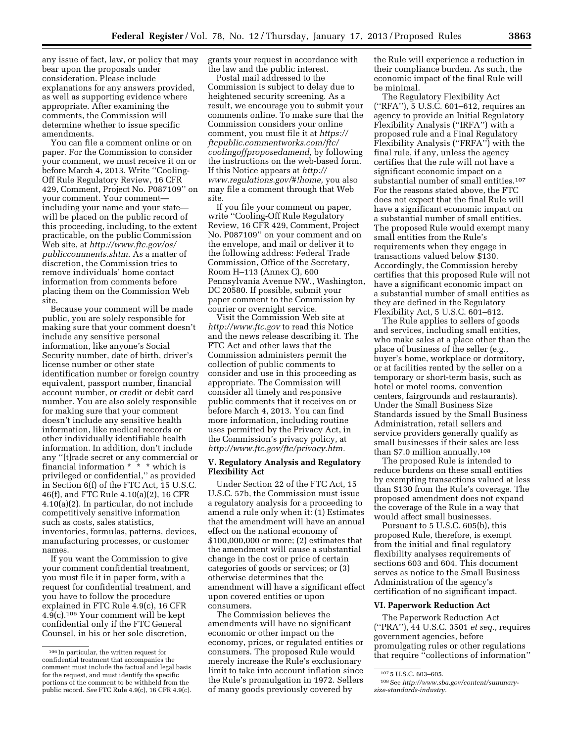any issue of fact, law, or policy that may bear upon the proposals under consideration. Please include explanations for any answers provided, as well as supporting evidence where appropriate. After examining the comments, the Commission will determine whether to issue specific amendments.

You can file a comment online or on paper. For the Commission to consider your comment, we must receive it on or before March 4, 2013. Write ''Cooling-Off Rule Regulatory Review, 16 CFR 429, Comment, Project No. P087109'' on your comment. Your comment including your name and your state will be placed on the public record of this proceeding, including, to the extent practicable, on the public Commission Web site, at *[http://www.ftc.gov/os/](http://www.ftc.gov/os/publiccomments.shtm) [publiccomments.shtm.](http://www.ftc.gov/os/publiccomments.shtm)* As a matter of discretion, the Commission tries to remove individuals' home contact information from comments before placing them on the Commission Web site.

Because your comment will be made public, you are solely responsible for making sure that your comment doesn't include any sensitive personal information, like anyone's Social Security number, date of birth, driver's license number or other state identification number or foreign country equivalent, passport number, financial account number, or credit or debit card number. You are also solely responsible for making sure that your comment doesn't include any sensitive health information, like medical records or other individually identifiable health information. In addition, don't include any ''[t]rade secret or any commercial or financial information \* \* \* which is privileged or confidential,'' as provided in Section 6(f) of the FTC Act, 15 U.S.C. 46(f), and FTC Rule 4.10(a)(2), 16 CFR 4.10(a)(2). In particular, do not include competitively sensitive information such as costs, sales statistics, inventories, formulas, patterns, devices, manufacturing processes, or customer names.

If you want the Commission to give your comment confidential treatment, you must file it in paper form, with a request for confidential treatment, and you have to follow the procedure explained in FTC Rule 4.9(c), 16 CFR 4.9(c).106 Your comment will be kept confidential only if the FTC General Counsel, in his or her sole discretion,

grants your request in accordance with the law and the public interest.

Postal mail addressed to the Commission is subject to delay due to heightened security screening. As a result, we encourage you to submit your comments online. To make sure that the Commission considers your online comment, you must file it at *[https://](https://ftcpublic.commentworks.com/ftc/coolingoffproposedamend) [ftcpublic.commentworks.com/ftc/](https://ftcpublic.commentworks.com/ftc/coolingoffproposedamend)  [coolingoffproposedamend,](https://ftcpublic.commentworks.com/ftc/coolingoffproposedamend)* by following the instructions on the web-based form. If this Notice appears at *[http://](http://www.regulations.gov/#!home)  [www.regulations.gov/#!home,](http://www.regulations.gov/#!home)* you also may file a comment through that Web site.

If you file your comment on paper, write ''Cooling-Off Rule Regulatory Review, 16 CFR 429, Comment, Project No. P087109'' on your comment and on the envelope, and mail or deliver it to the following address: Federal Trade Commission, Office of the Secretary, Room H–113 (Annex C), 600 Pennsylvania Avenue NW., Washington, DC 20580. If possible, submit your paper comment to the Commission by courier or overnight service.

Visit the Commission Web site at *<http://www.ftc.gov>*to read this Notice and the news release describing it. The FTC Act and other laws that the Commission administers permit the collection of public comments to consider and use in this proceeding as appropriate. The Commission will consider all timely and responsive public comments that it receives on or before March 4, 2013. You can find more information, including routine uses permitted by the Privacy Act, in the Commission's privacy policy, at *[http://www.ftc.gov/ftc/privacy.htm.](http://www.ftc.gov/ftc/privacy.htm)* 

# **V. Regulatory Analysis and Regulatory Flexibility Act**

Under Section 22 of the FTC Act, 15 U.S.C. 57b, the Commission must issue a regulatory analysis for a proceeding to amend a rule only when it: (1) Estimates that the amendment will have an annual effect on the national economy of \$100,000,000 or more; (2) estimates that the amendment will cause a substantial change in the cost or price of certain categories of goods or services; or (3) otherwise determines that the amendment will have a significant effect upon covered entities or upon consumers.

The Commission believes the amendments will have no significant economic or other impact on the economy, prices, or regulated entities or consumers. The proposed Rule would merely increase the Rule's exclusionary limit to take into account inflation since the Rule's promulgation in 1972. Sellers of many goods previously covered by

the Rule will experience a reduction in their compliance burden. As such, the economic impact of the final Rule will be minimal.

The Regulatory Flexibility Act (''RFA''), 5 U.S.C. 601–612, requires an agency to provide an Initial Regulatory Flexibility Analysis (''IRFA'') with a proposed rule and a Final Regulatory Flexibility Analysis (''FRFA'') with the final rule, if any, unless the agency certifies that the rule will not have a significant economic impact on a substantial number of small entities.107 For the reasons stated above, the FTC does not expect that the final Rule will have a significant economic impact on a substantial number of small entities. The proposed Rule would exempt many small entities from the Rule's requirements when they engage in transactions valued below \$130. Accordingly, the Commission hereby certifies that this proposed Rule will not have a significant economic impact on a substantial number of small entities as they are defined in the Regulatory Flexibility Act, 5 U.S.C. 601–612.

The Rule applies to sellers of goods and services, including small entities, who make sales at a place other than the place of business of the seller (e.g., buyer's home, workplace or dormitory, or at facilities rented by the seller on a temporary or short-term basis, such as hotel or motel rooms, convention centers, fairgrounds and restaurants). Under the Small Business Size Standards issued by the Small Business Administration, retail sellers and service providers generally qualify as small businesses if their sales are less than \$7.0 million annually.108

The proposed Rule is intended to reduce burdens on these small entities by exempting transactions valued at less than \$130 from the Rule's coverage. The proposed amendment does not expand the coverage of the Rule in a way that would affect small businesses.

Pursuant to 5 U.S.C. 605(b), this proposed Rule, therefore, is exempt from the initial and final regulatory flexibility analyses requirements of sections 603 and 604. This document serves as notice to the Small Business Administration of the agency's certification of no significant impact.

### **VI. Paperwork Reduction Act**

The Paperwork Reduction Act (''PRA''), 44 U.S.C. 3501 *et seq.,* requires government agencies, before promulgating rules or other regulations that require ''collections of information''

<sup>106</sup> In particular, the written request for confidential treatment that accompanies the comment must include the factual and legal basis for the request, and must identify the specific portions of the comment to be withheld from the public record. *See* FTC Rule 4.9(c), 16 CFR 4.9(c).

<sup>107</sup> 5 U.S.C. 603–605.

<sup>108</sup>See *[http://www.sba.gov/content/summary](http://www.sba.gov/content/summary-size-standards-industry)[size-standards-industry.](http://www.sba.gov/content/summary-size-standards-industry)*